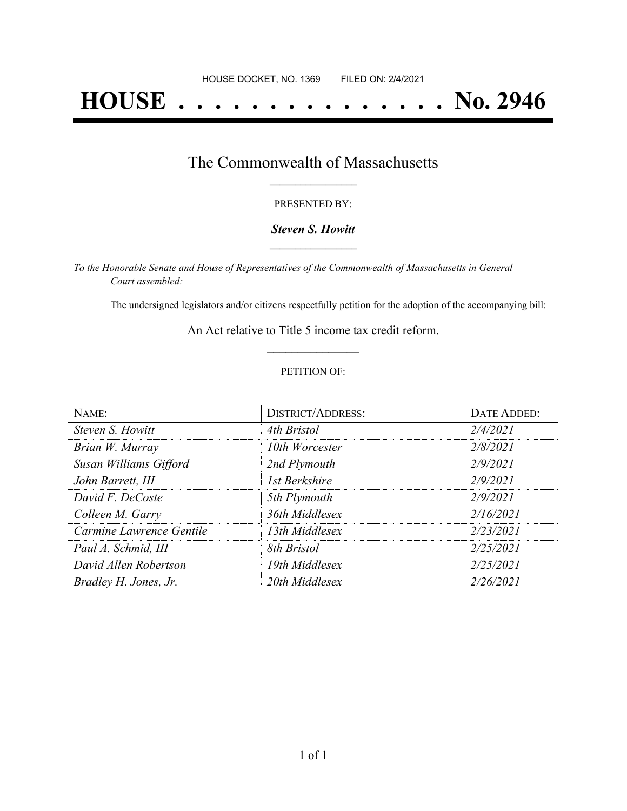# **HOUSE . . . . . . . . . . . . . . . No. 2946**

## The Commonwealth of Massachusetts **\_\_\_\_\_\_\_\_\_\_\_\_\_\_\_\_\_**

#### PRESENTED BY:

#### *Steven S. Howitt* **\_\_\_\_\_\_\_\_\_\_\_\_\_\_\_\_\_**

*To the Honorable Senate and House of Representatives of the Commonwealth of Massachusetts in General Court assembled:*

The undersigned legislators and/or citizens respectfully petition for the adoption of the accompanying bill:

An Act relative to Title 5 income tax credit reform. **\_\_\_\_\_\_\_\_\_\_\_\_\_\_\_**

#### PETITION OF:

| NAME:                    | <b>DISTRICT/ADDRESS:</b> | <b>DATE ADDED:</b> |
|--------------------------|--------------------------|--------------------|
| Steven S. Howitt         | 4th Bristol              | 2/4/2021           |
| Brian W. Murray          | 10th Worcester           | 2/8/2021           |
| Susan Williams Gifford   | 2nd Plymouth             | 2/9/2021           |
| John Barrett, III        | <b>1st Berkshire</b>     | 2/9/2021           |
| David F. DeCoste         | 5th Plymouth             | 2/9/2021           |
| Colleen M. Garry         | 36th Middlesex           | 2/16/2021          |
| Carmine Lawrence Gentile | 13th Middlesex           | 2/23/2021          |
| Paul A. Schmid, III      | 8th Bristol              | 2/25/2021          |
| David Allen Robertson    | 19th Middlesex           | 2/25/2021          |
| Bradley H. Jones, Jr.    | 20th Middlesex           | 2/26/2021          |